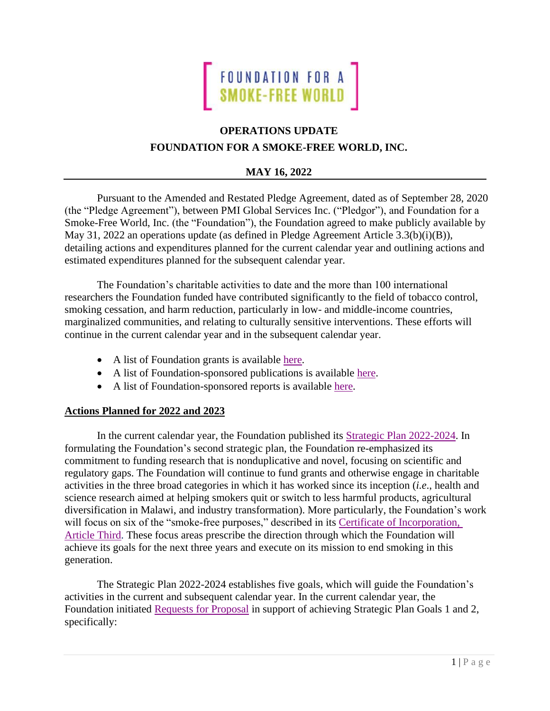

# **OPERATIONS UPDATE FOUNDATION FOR A SMOKE-FREE WORLD, INC.**

# **MAY 16, 2022**

Pursuant to the Amended and Restated Pledge Agreement, dated as of September 28, 2020 (the "Pledge Agreement"), between PMI Global Services Inc. ("Pledgor"), and Foundation for a Smoke-Free World, Inc. (the "Foundation"), the Foundation agreed to make publicly available by May 31, 2022 an operations update (as defined in Pledge Agreement Article 3.3(b)(i)(B)), detailing actions and expenditures planned for the current calendar year and outlining actions and estimated expenditures planned for the subsequent calendar year.

The Foundation's charitable activities to date and the more than 100 international researchers the Foundation funded have contributed significantly to the field of tobacco control, smoking cessation, and harm reduction, particularly in low- and middle-income countries, marginalized communities, and relating to culturally sensitive interventions. These efforts will continue in the current calendar year and in the subsequent calendar year.

- A list of Foundation grants is available [here.](https://www.smokefreeworld.org/grants-program/)
- A list of Foundation-sponsored publications is available [here.](https://www.smokefreeworld.org/publications/)
- A list of Foundation-sponsored reports is available [here.](https://www.smokefreeworld.org/published_reports/)

## **Actions Planned for 2022 and 2023**

In the current calendar year, the Foundation published its [Strategic Plan 2022-2024.](https://www.smokefreeworld.org/strategic-plan-2022/) In formulating the Foundation's second strategic plan, the Foundation re-emphasized its commitment to funding research that is nonduplicative and novel, focusing on scientific and regulatory gaps. The Foundation will continue to fund grants and otherwise engage in charitable activities in the three broad categories in which it has worked since its inception (*i.e*., health and science research aimed at helping smokers quit or switch to less harmful products, agricultural diversification in Malawi, and industry transformation). More particularly, the Foundation's work will focus on six of the "smoke-free purposes," described in its Certificate of Incorporation, [Article Third.](https://www.smokefreeworld.org/wp-content/uploads/2019/10/certificate_of_incorporation.pdf) These focus areas prescribe the direction through which the Foundation will achieve its goals for the next three years and execute on its mission to end smoking in this generation.

The Strategic Plan 2022-2024 establishes five goals, which will guide the Foundation's activities in the current and subsequent calendar year. In the current calendar year, the Foundation initiated [Requests for Proposal](https://www.smokefreeworld.org/current-rfp-opportunities-search-results/) in support of achieving Strategic Plan Goals 1 and 2, specifically: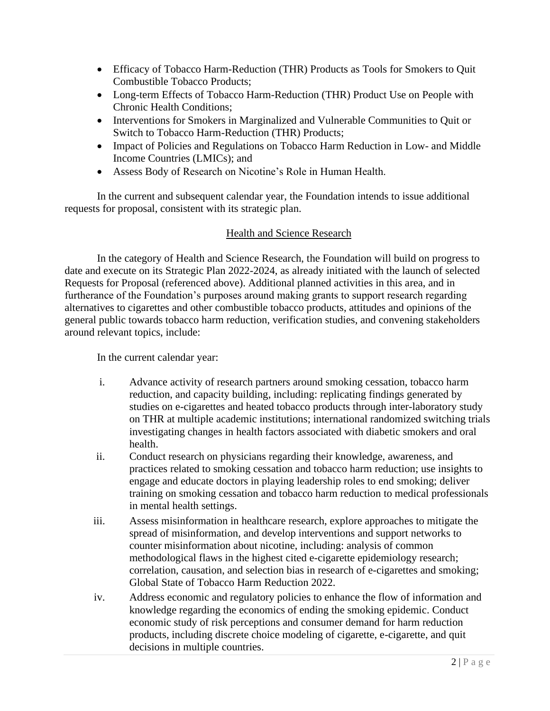- Efficacy of Tobacco Harm-Reduction (THR) Products as Tools for Smokers to Quit Combustible Tobacco Products;
- Long-term Effects of Tobacco Harm-Reduction (THR) Product Use on People with Chronic Health Conditions;
- Interventions for Smokers in Marginalized and Vulnerable Communities to Quit or Switch to Tobacco Harm-Reduction (THR) Products;
- Impact of Policies and Regulations on Tobacco Harm Reduction in Low- and Middle Income Countries (LMICs); and
- Assess Body of Research on Nicotine's Role in Human Health.

In the current and subsequent calendar year, the Foundation intends to issue additional requests for proposal, consistent with its strategic plan.

#### Health and Science Research

In the category of Health and Science Research, the Foundation will build on progress to date and execute on its Strategic Plan 2022-2024, as already initiated with the launch of selected Requests for Proposal (referenced above). Additional planned activities in this area, and in furtherance of the Foundation's purposes around making grants to support research regarding alternatives to cigarettes and other combustible tobacco products, attitudes and opinions of the general public towards tobacco harm reduction, verification studies, and convening stakeholders around relevant topics, include:

In the current calendar year:

- i. Advance activity of research partners around smoking cessation, tobacco harm reduction, and capacity building, including: replicating findings generated by studies on e-cigarettes and heated tobacco products through inter-laboratory study on THR at multiple academic institutions; international randomized switching trials investigating changes in health factors associated with diabetic smokers and oral health.
- ii. Conduct research on physicians regarding their knowledge, awareness, and practices related to smoking cessation and tobacco harm reduction; use insights to engage and educate doctors in playing leadership roles to end smoking; deliver training on smoking cessation and tobacco harm reduction to medical professionals in mental health settings.
- iii. Assess misinformation in healthcare research, explore approaches to mitigate the spread of misinformation, and develop interventions and support networks to counter misinformation about nicotine, including: analysis of common methodological flaws in the highest cited e-cigarette epidemiology research; correlation, causation, and selection bias in research of e-cigarettes and smoking; Global State of Tobacco Harm Reduction 2022.
- iv. Address economic and regulatory policies to enhance the flow of information and knowledge regarding the economics of ending the smoking epidemic. Conduct economic study of risk perceptions and consumer demand for harm reduction products, including discrete choice modeling of cigarette, e-cigarette, and quit decisions in multiple countries.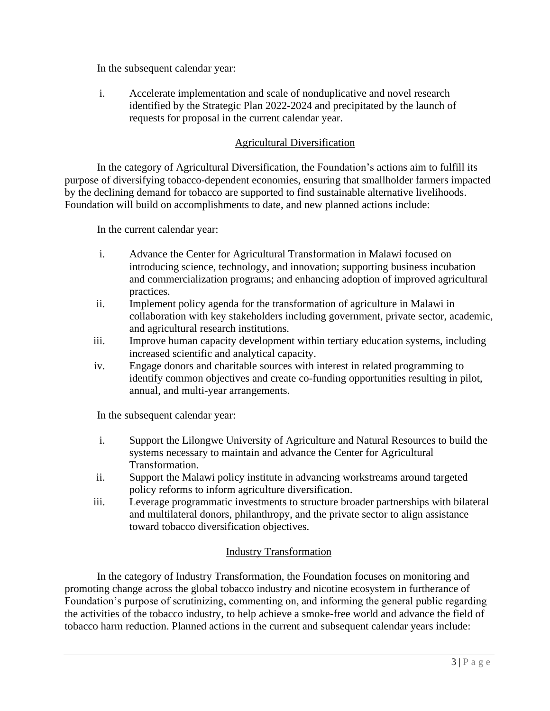In the subsequent calendar year:

i. Accelerate implementation and scale of nonduplicative and novel research identified by the Strategic Plan 2022-2024 and precipitated by the launch of requests for proposal in the current calendar year.

# Agricultural Diversification

In the category of Agricultural Diversification, the Foundation's actions aim to fulfill its purpose of diversifying tobacco-dependent economies, ensuring that smallholder farmers impacted by the declining demand for tobacco are supported to find sustainable alternative livelihoods. Foundation will build on accomplishments to date, and new planned actions include:

In the current calendar year:

- i. Advance the Center for Agricultural Transformation in Malawi focused on introducing science, technology, and innovation; supporting business incubation and commercialization programs; and enhancing adoption of improved agricultural practices.
- ii. Implement policy agenda for the transformation of agriculture in Malawi in collaboration with key stakeholders including government, private sector, academic, and agricultural research institutions.
- iii. Improve human capacity development within tertiary education systems, including increased scientific and analytical capacity.
- iv. Engage donors and charitable sources with interest in related programming to identify common objectives and create co-funding opportunities resulting in pilot, annual, and multi-year arrangements.

In the subsequent calendar year:

- i. Support the Lilongwe University of Agriculture and Natural Resources to build the systems necessary to maintain and advance the Center for Agricultural Transformation.
- ii. Support the Malawi policy institute in advancing workstreams around targeted policy reforms to inform agriculture diversification.
- iii. Leverage programmatic investments to structure broader partnerships with bilateral and multilateral donors, philanthropy, and the private sector to align assistance toward tobacco diversification objectives.

## Industry Transformation

In the category of Industry Transformation, the Foundation focuses on monitoring and promoting change across the global tobacco industry and nicotine ecosystem in furtherance of Foundation's purpose of scrutinizing, commenting on, and informing the general public regarding the activities of the tobacco industry, to help achieve a smoke-free world and advance the field of tobacco harm reduction. Planned actions in the current and subsequent calendar years include: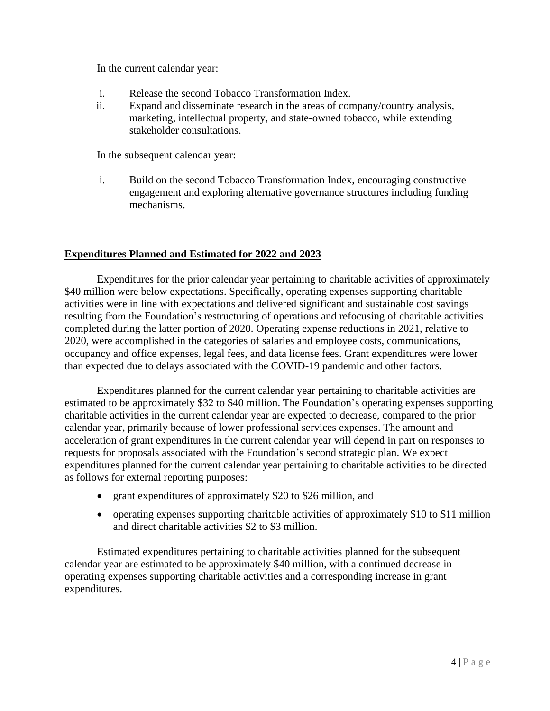In the current calendar year:

- i. Release the second Tobacco Transformation Index.
- ii. Expand and disseminate research in the areas of company/country analysis, marketing, intellectual property, and state-owned tobacco, while extending stakeholder consultations.

In the subsequent calendar year:

i. Build on the second Tobacco Transformation Index, encouraging constructive engagement and exploring alternative governance structures including funding mechanisms.

## **Expenditures Planned and Estimated for 2022 and 2023**

Expenditures for the prior calendar year pertaining to charitable activities of approximately \$40 million were below expectations. Specifically, operating expenses supporting charitable activities were in line with expectations and delivered significant and sustainable cost savings resulting from the Foundation's restructuring of operations and refocusing of charitable activities completed during the latter portion of 2020. Operating expense reductions in 2021, relative to 2020, were accomplished in the categories of salaries and employee costs, communications, occupancy and office expenses, legal fees, and data license fees. Grant expenditures were lower than expected due to delays associated with the COVID-19 pandemic and other factors.

Expenditures planned for the current calendar year pertaining to charitable activities are estimated to be approximately \$32 to \$40 million. The Foundation's operating expenses supporting charitable activities in the current calendar year are expected to decrease, compared to the prior calendar year, primarily because of lower professional services expenses. The amount and acceleration of grant expenditures in the current calendar year will depend in part on responses to requests for proposals associated with the Foundation's second strategic plan. We expect expenditures planned for the current calendar year pertaining to charitable activities to be directed as follows for external reporting purposes:

- grant expenditures of approximately \$20 to \$26 million, and
- operating expenses supporting charitable activities of approximately \$10 to \$11 million and direct charitable activities \$2 to \$3 million.

Estimated expenditures pertaining to charitable activities planned for the subsequent calendar year are estimated to be approximately \$40 million, with a continued decrease in operating expenses supporting charitable activities and a corresponding increase in grant expenditures.